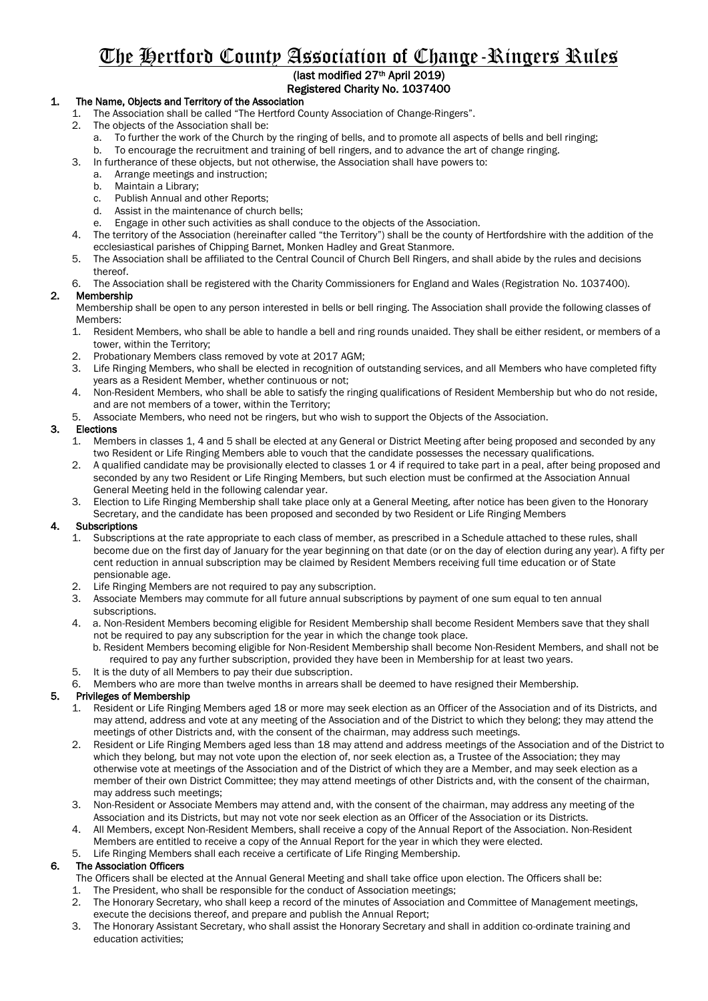# The Hertford County Association of Change-Ringers Rules

# (last modified 27th April 2019) Registered Charity No. 1037400

# 1. The Name, Objects and Territory of the Association

- 1. The Association shall be called "The Hertford County Association of Change-Ringers".
	- 2. The objects of the Association shall be:
		- a. To further the work of the Church by the ringing of bells, and to promote all aspects of bells and bell ringing;
		- b. To encourage the recruitment and training of bell ringers, and to advance the art of change ringing.
	- 3. In furtherance of these objects, but not otherwise, the Association shall have powers to:
		- a. Arrange meetings and instruction;
		- b. Maintain a Library;
		- c. Publish Annual and other Reports;
		- d. Assist in the maintenance of church bells;
		- e. Engage in other such activities as shall conduce to the objects of the Association.
	- 4. The territory of the Association (hereinafter called "the Territory") shall be the county of Hertfordshire with the addition of the ecclesiastical parishes of Chipping Barnet, Monken Hadley and Great Stanmore.
	- 5. The Association shall be affiliated to the Central Council of Church Bell Ringers, and shall abide by the rules and decisions thereof.
	- 6. The Association shall be registered with the Charity Commissioners for England and Wales (Registration No. 1037400).

## 2. Membership

Membership shall be open to any person interested in bells or bell ringing. The Association shall provide the following classes of Members:

- 1. Resident Members, who shall be able to handle a bell and ring rounds unaided. They shall be either resident, or members of a tower, within the Territory;
- 2. Probationary Members class removed by vote at 2017 AGM;
- 3. Life Ringing Members, who shall be elected in recognition of outstanding services, and all Members who have completed fifty years as a Resident Member, whether continuous or not;
- 4. Non-Resident Members, who shall be able to satisfy the ringing qualifications of Resident Membership but who do not reside, and are not members of a tower, within the Territory;
- 5. Associate Members, who need not be ringers, but who wish to support the Objects of the Association.

# 3. Elections<br>1. Meml

- 1. Members in classes 1, 4 and 5 shall be elected at any General or District Meeting after being proposed and seconded by any two Resident or Life Ringing Members able to vouch that the candidate possesses the necessary qualifications.
- 2. A qualified candidate may be provisionally elected to classes 1 or 4 if required to take part in a peal, after being proposed and seconded by any two Resident or Life Ringing Members, but such election must be confirmed at the Association Annual General Meeting held in the following calendar year.
- 3. Election to Life Ringing Membership shall take place only at a General Meeting, after notice has been given to the Honorary Secretary, and the candidate has been proposed and seconded by two Resident or Life Ringing Members

## 4. Subscriptions

- 1. Subscriptions at the rate appropriate to each class of member, as prescribed in a Schedule attached to these rules, shall become due on the first day of January for the year beginning on that date (or on the day of election during any year). A fifty per cent reduction in annual subscription may be claimed by Resident Members receiving full time education or of State pensionable age.
- 2. Life Ringing Members are not required to pay any subscription.
- 3. Associate Members may commute for all future annual subscriptions by payment of one sum equal to ten annual subscriptions.
- 4. a. Non-Resident Members becoming eligible for Resident Membership shall become Resident Members save that they shall not be required to pay any subscription for the year in which the change took place.
	- b. Resident Members becoming eligible for Non-Resident Membership shall become Non-Resident Members, and shall not be required to pay any further subscription, provided they have been in Membership for at least two years.
- 5. It is the duty of all Members to pay their due subscription.
- 6. Members who are more than twelve months in arrears shall be deemed to have resigned their Membership.

## 5. Privileges of Membership

- 1. Resident or Life Ringing Members aged 18 or more may seek election as an Officer of the Association and of its Districts, and may attend, address and vote at any meeting of the Association and of the District to which they belong; they may attend the meetings of other Districts and, with the consent of the chairman, may address such meetings.
- 2. Resident or Life Ringing Members aged less than 18 may attend and address meetings of the Association and of the District to which they belong, but may not vote upon the election of, nor seek election as, a Trustee of the Association; they may otherwise vote at meetings of the Association and of the District of which they are a Member, and may seek election as a member of their own District Committee; they may attend meetings of other Districts and, with the consent of the chairman, may address such meetings;
- 3. Non-Resident or Associate Members may attend and, with the consent of the chairman, may address any meeting of the Association and its Districts, but may not vote nor seek election as an Officer of the Association or its Districts.
- 4. All Members, except Non-Resident Members, shall receive a copy of the Annual Report of the Association. Non-Resident Members are entitled to receive a copy of the Annual Report for the year in which they were elected.
- Life Ringing Members shall each receive a certificate of Life Ringing Membership.

## 6. The Association Officers

- The Officers shall be elected at the Annual General Meeting and shall take office upon election. The Officers shall be: 1. The President, who shall be responsible for the conduct of Association meetings;
- 2. The Honorary Secretary, who shall keep a record of the minutes of Association and Committee of Management meetings, execute the decisions thereof, and prepare and publish the Annual Report;
- 3. The Honorary Assistant Secretary, who shall assist the Honorary Secretary and shall in addition co-ordinate training and education activities;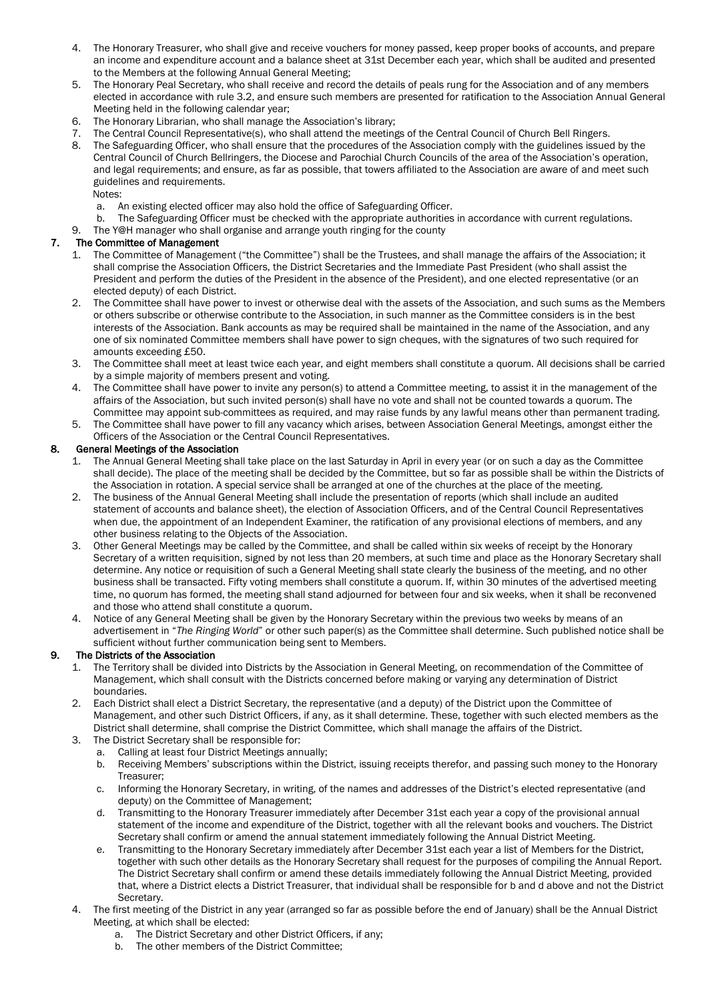- 4. The Honorary Treasurer, who shall give and receive vouchers for money passed, keep proper books of accounts, and prepare an income and expenditure account and a balance sheet at 31st December each year, which shall be audited and presented to the Members at the following Annual General Meeting;
- 5. The Honorary Peal Secretary, who shall receive and record the details of peals rung for the Association and of any members elected in accordance with rule 3.2, and ensure such members are presented for ratification to the Association Annual General Meeting held in the following calendar year;
- 6. The Honorary Librarian, who shall manage the Association's library;
- 7. The Central Council Representative(s), who shall attend the meetings of the Central Council of Church Bell Ringers.
- 8. The Safeguarding Officer, who shall ensure that the procedures of the Association comply with the guidelines issued by the Central Council of Church Bellringers, the Diocese and Parochial Church Councils of the area of the Association's operation, and legal requirements; and ensure, as far as possible, that towers affiliated to the Association are aware of and meet such guidelines and requirements.

Notes:

- a. An existing elected officer may also hold the office of Safeguarding Officer.
- b. The Safeguarding Officer must be checked with the appropriate authorities in accordance with current regulations.
- 9. The Y@H manager who shall organise and arrange youth ringing for the county

#### 7. The Committee of Management

- 1. The Committee of Management ("the Committee") shall be the Trustees, and shall manage the affairs of the Association; it shall comprise the Association Officers, the District Secretaries and the Immediate Past President (who shall assist the President and perform the duties of the President in the absence of the President), and one elected representative (or an elected deputy) of each District.
- 2. The Committee shall have power to invest or otherwise deal with the assets of the Association, and such sums as the Members or others subscribe or otherwise contribute to the Association, in such manner as the Committee considers is in the best interests of the Association. Bank accounts as may be required shall be maintained in the name of the Association, and any one of six nominated Committee members shall have power to sign cheques, with the signatures of two such required for amounts exceeding £50.
- 3. The Committee shall meet at least twice each year, and eight members shall constitute a quorum. All decisions shall be carried by a simple majority of members present and voting.
- 4. The Committee shall have power to invite any person(s) to attend a Committee meeting, to assist it in the management of the affairs of the Association, but such invited person(s) shall have no vote and shall not be counted towards a quorum. The Committee may appoint sub-committees as required, and may raise funds by any lawful means other than permanent trading.
- 5. The Committee shall have power to fill any vacancy which arises, between Association General Meetings, amongst either the Officers of the Association or the Central Council Representatives.

#### 8. General Meetings of the Association

- 1. The Annual General Meeting shall take place on the last Saturday in April in every year (or on such a day as the Committee shall decide). The place of the meeting shall be decided by the Committee, but so far as possible shall be within the Districts of the Association in rotation. A special service shall be arranged at one of the churches at the place of the meeting.
- 2. The business of the Annual General Meeting shall include the presentation of reports (which shall include an audited statement of accounts and balance sheet), the election of Association Officers, and of the Central Council Representatives when due, the appointment of an Independent Examiner, the ratification of any provisional elections of members, and any other business relating to the Objects of the Association.
- 3. Other General Meetings may be called by the Committee, and shall be called within six weeks of receipt by the Honorary Secretary of a written requisition, signed by not less than 20 members, at such time and place as the Honorary Secretary shall determine. Any notice or requisition of such a General Meeting shall state clearly the business of the meeting, and no other business shall be transacted. Fifty voting members shall constitute a quorum. If, within 30 minutes of the advertised meeting time, no quorum has formed, the meeting shall stand adjourned for between four and six weeks, when it shall be reconvened and those who attend shall constitute a quorum.
- 4. Notice of any General Meeting shall be given by the Honorary Secretary within the previous two weeks by means of an advertisement in "*The Ringing World*" or other such paper(s) as the Committee shall determine. Such published notice shall be sufficient without further communication being sent to Members.

## 9. The Districts of the Association

- 1. The Territory shall be divided into Districts by the Association in General Meeting, on recommendation of the Committee of Management, which shall consult with the Districts concerned before making or varying any determination of District boundaries.
- 2. Each District shall elect a District Secretary, the representative (and a deputy) of the District upon the Committee of Management, and other such District Officers, if any, as it shall determine. These, together with such elected members as the District shall determine, shall comprise the District Committee, which shall manage the affairs of the District.
- 3. The District Secretary shall be responsible for:
	- a. Calling at least four District Meetings annually;
	- b. Receiving Members' subscriptions within the District, issuing receipts therefor, and passing such money to the Honorary Treasurer;
	- c. Informing the Honorary Secretary, in writing, of the names and addresses of the District's elected representative (and deputy) on the Committee of Management;
	- d. Transmitting to the Honorary Treasurer immediately after December 31st each year a copy of the provisional annual statement of the income and expenditure of the District, together with all the relevant books and vouchers. The District Secretary shall confirm or amend the annual statement immediately following the Annual District Meeting.
	- e. Transmitting to the Honorary Secretary immediately after December 31st each year a list of Members for the District, together with such other details as the Honorary Secretary shall request for the purposes of compiling the Annual Report. The District Secretary shall confirm or amend these details immediately following the Annual District Meeting, provided that, where a District elects a District Treasurer, that individual shall be responsible for b and d above and not the District **Secretary**
- 4. The first meeting of the District in any year (arranged so far as possible before the end of January) shall be the Annual District Meeting, at which shall be elected:<br>a. The District Secretary and
	- The District Secretary and other District Officers, if any;
	- b. The other members of the District Committee;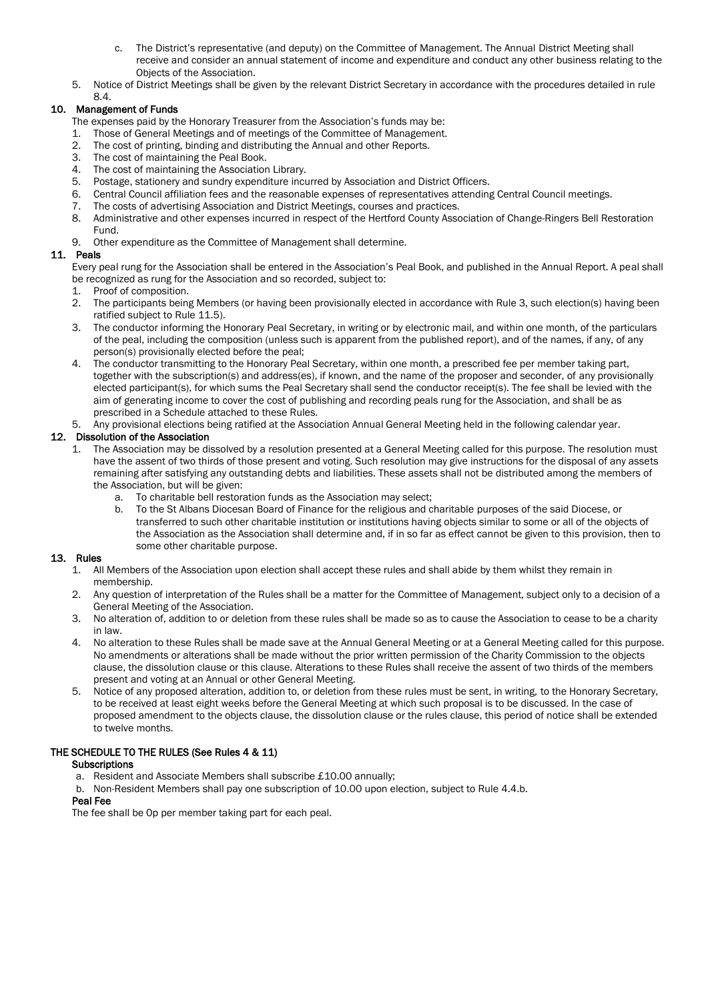- c. The District's representative (and deputy) on the Committee of Management. The Annual District Meeting shall receive and consider an annual statement of income and expenditure and conduct any other business relating to the Objects of the Association.
- 5. Notice of District Meetings shall be given by the relevant District Secretary in accordance with the procedures detailed in rule 8.4.

# 10. Management of Funds

- The expenses paid by the Honorary Treasurer from the Association's funds may be:
- 1. Those of General Meetings and of meetings of the Committee of Management.<br>2. The cost of printing, binding and distributing the Annual and other Reports
- The cost of printing, binding and distributing the Annual and other Reports.
- 3. The cost of maintaining the Peal Book.
- 4. The cost of maintaining the Association Library.
- 
- 5. Postage, stationery and sundry expenditure incurred by Association and District Officers. 6. Central Council affiliation fees and the reasonable expenses of representatives attending Central Council meetings.
- 7. The costs of advertising Association and District Meetings, courses and practices.
- 8. Administrative and other expenses incurred in respect of the Hertford County Association of Change-Ringers Bell Restoration Fund.
- 9. Other expenditure as the Committee of Management shall determine.

## 11. Peals

Every peal rung for the Association shall be entered in the Association's Peal Book, and published in the Annual Report. A peal shall be recognized as rung for the Association and so recorded, subject to:

- 1. Proof of composition.
- 2. The participants being Members (or having been provisionally elected in accordance with Rule 3, such election(s) having been ratified subject to Rule 11.5).
- 3. The conductor informing the Honorary Peal Secretary, in writing or by electronic mail, and within one month, of the particulars of the peal, including the composition (unless such is apparent from the published report), and of the names, if any, of any person(s) provisionally elected before the peal;
- 4. The conductor transmitting to the Honorary Peal Secretary, within one month, a prescribed fee per member taking part, together with the subscription(s) and address(es), if known, and the name of the proposer and seconder, of any provisionally elected participant(s), for which sums the Peal Secretary shall send the conductor receipt(s). The fee shall be levied with the aim of generating income to cover the cost of publishing and recording peals rung for the Association, and shall be as prescribed in a Schedule attached to these Rules.
- 5. Any provisional elections being ratified at the Association Annual General Meeting held in the following calendar year.

## 12. Dissolution of the Association

- 1. The Association may be dissolved by a resolution presented at a General Meeting called for this purpose. The resolution must have the assent of two thirds of those present and voting. Such resolution may give instructions for the disposal of any assets remaining after satisfying any outstanding debts and liabilities. These assets shall not be distributed among the members of the Association, but will be given:
	- a. To charitable bell restoration funds as the Association may select;
	- b. To the St Albans Diocesan Board of Finance for the religious and charitable purposes of the said Diocese, or transferred to such other charitable institution or institutions having objects similar to some or all of the objects of the Association as the Association shall determine and, if in so far as effect cannot be given to this provision, then to some other charitable purpose.

## 13. Rules

- 1. All Members of the Association upon election shall accept these rules and shall abide by them whilst they remain in membership.
- 2. Any question of interpretation of the Rules shall be a matter for the Committee of Management, subject only to a decision of a General Meeting of the Association.
- 3. No alteration of, addition to or deletion from these rules shall be made so as to cause the Association to cease to be a charity in law.
- 4. No alteration to these Rules shall be made save at the Annual General Meeting or at a General Meeting called for this purpose. No amendments or alterations shall be made without the prior written permission of the Charity Commission to the objects clause, the dissolution clause or this clause. Alterations to these Rules shall receive the assent of two thirds of the members present and voting at an Annual or other General Meeting.
- 5. Notice of any proposed alteration, addition to, or deletion from these rules must be sent, in writing, to the Honorary Secretary, to be received at least eight weeks before the General Meeting at which such proposal is to be discussed. In the case of proposed amendment to the objects clause, the dissolution clause or the rules clause, this period of notice shall be extended to twelve months.

# THE SCHEDULE TO THE RULES (See Rules 4 & 11)

## **Subscriptions**

- a. Resident and Associate Members shall subscribe £10.00 annually;
- b. Non-Resident Members shall pay one subscription of 10.00 upon election, subject to Rule 4.4.b.

## Peal Fee

The fee shall be 0p per member taking part for each peal.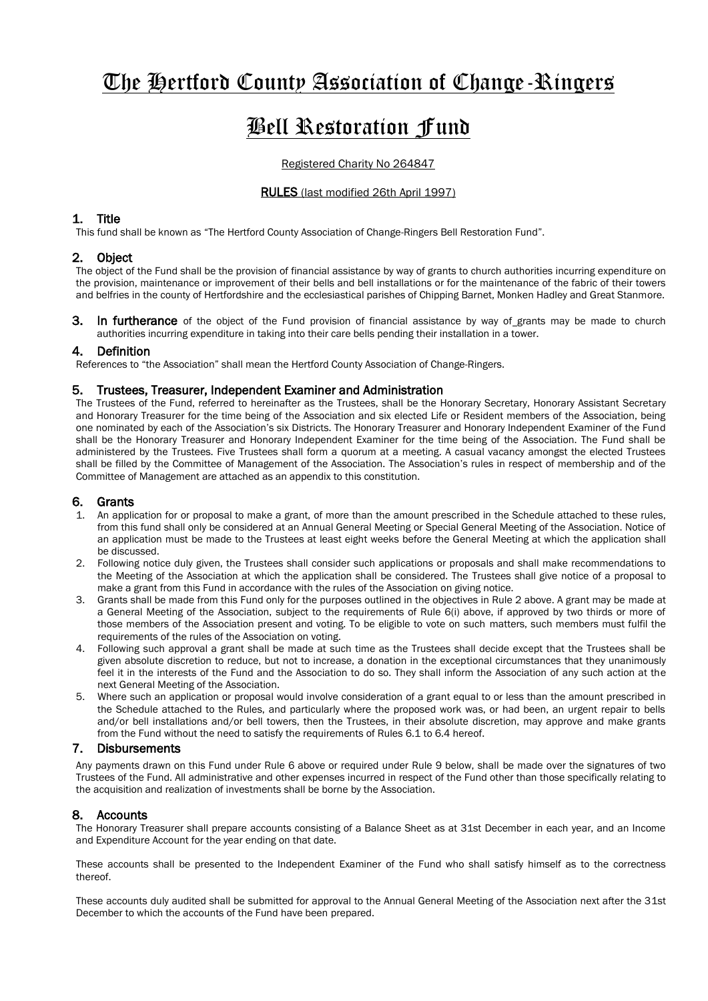# The Hertford County Association of Change-Ringers

# Bell Restoration Fund

## Registered Charity No 264847

## RULES (last modified 26th April 1997)

# 1. Title

This fund shall be known as "The Hertford County Association of Change-Ringers Bell Restoration Fund".

# 2. Object

The object of the Fund shall be the provision of financial assistance by way of grants to church authorities incurring expenditure on the provision, maintenance or improvement of their bells and bell installations or for the maintenance of the fabric of their towers and belfries in the county of Hertfordshire and the ecclesiastical parishes of Chipping Barnet, Monken Hadley and Great Stanmore.

**3.** In furtherance of the object of the Fund provision of financial assistance by way of grants may be made to church authorities incurring expenditure in taking into their care bells pending their installation in a tower.

## 4. Definition

References to "the Association" shall mean the Hertford County Association of Change-Ringers.

## 5. Trustees, Treasurer, Independent Examiner and Administration

The Trustees of the Fund, referred to hereinafter as the Trustees, shall be the Honorary Secretary, Honorary Assistant Secretary and Honorary Treasurer for the time being of the Association and six elected Life or Resident members of the Association, being one nominated by each of the Association's six Districts. The Honorary Treasurer and Honorary Independent Examiner of the Fund shall be the Honorary Treasurer and Honorary Independent Examiner for the time being of the Association. The Fund shall be administered by the Trustees. Five Trustees shall form a quorum at a meeting. A casual vacancy amongst the elected Trustees shall be filled by the Committee of Management of the Association. The Association's rules in respect of membership and of the Committee of Management are attached as an appendix to this constitution.

## 6. Grants

- 1. An application for or proposal to make a grant, of more than the amount prescribed in the Schedule attached to these rules, from this fund shall only be considered at an Annual General Meeting or Special General Meeting of the Association. Notice of an application must be made to the Trustees at least eight weeks before the General Meeting at which the application shall be discussed.
- 2. Following notice duly given, the Trustees shall consider such applications or proposals and shall make recommendations to the Meeting of the Association at which the application shall be considered. The Trustees shall give notice of a proposal to make a grant from this Fund in accordance with the rules of the Association on giving notice.
- 3. Grants shall be made from this Fund only for the purposes outlined in the objectives in Rule 2 above. A grant may be made at a General Meeting of the Association, subject to the requirements of Rule 6(i) above, if approved by two thirds or more of those members of the Association present and voting. To be eligible to vote on such matters, such members must fulfil the requirements of the rules of the Association on voting.
- 4. Following such approval a grant shall be made at such time as the Trustees shall decide except that the Trustees shall be given absolute discretion to reduce, but not to increase, a donation in the exceptional circumstances that they unanimously feel it in the interests of the Fund and the Association to do so. They shall inform the Association of any such action at the next General Meeting of the Association.
- 5. Where such an application or proposal would involve consideration of a grant equal to or less than the amount prescribed in the Schedule attached to the Rules, and particularly where the proposed work was, or had been, an urgent repair to bells and/or bell installations and/or bell towers, then the Trustees, in their absolute discretion, may approve and make grants from the Fund without the need to satisfy the requirements of Rules 6.1 to 6.4 hereof.

# 7. Disbursements

Any payments drawn on this Fund under Rule 6 above or required under Rule 9 below, shall be made over the signatures of two Trustees of the Fund. All administrative and other expenses incurred in respect of the Fund other than those specifically relating to the acquisition and realization of investments shall be borne by the Association.

# 8. Accounts

The Honorary Treasurer shall prepare accounts consisting of a Balance Sheet as at 31st December in each year, and an Income and Expenditure Account for the year ending on that date.

These accounts shall be presented to the Independent Examiner of the Fund who shall satisfy himself as to the correctness thereof.

These accounts duly audited shall be submitted for approval to the Annual General Meeting of the Association next after the 31st December to which the accounts of the Fund have been prepared.